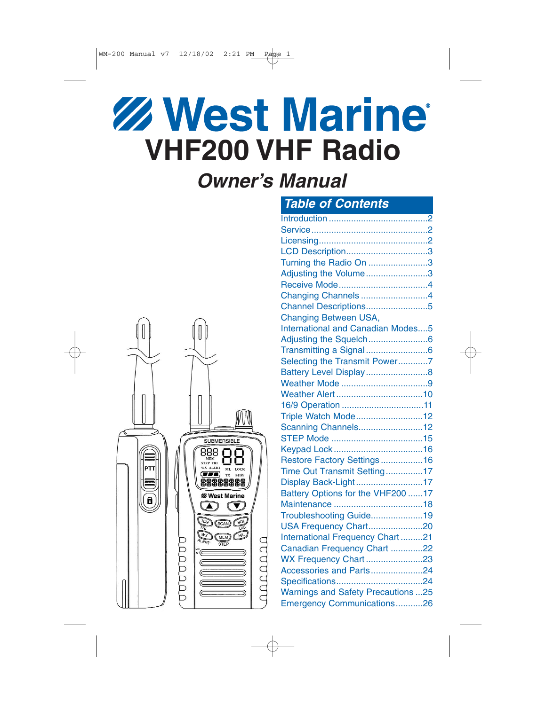# **Z West Marine VHF200 VHF Radio**

# *Owner's Manual*



| <b>Table of Contents</b>                 |  |
|------------------------------------------|--|
|                                          |  |
|                                          |  |
|                                          |  |
| LCD Description3                         |  |
| Turning the Radio On 3                   |  |
| Adjusting the Volume3                    |  |
|                                          |  |
| Changing Channels4                       |  |
| Channel Descriptions5                    |  |
| Changing Between USA,                    |  |
| <b>International and Canadian Modes5</b> |  |
|                                          |  |
|                                          |  |
| Selecting the Transmit Power7            |  |
|                                          |  |
|                                          |  |
|                                          |  |
| 16/9 Operation 11                        |  |
| Triple Watch Mode12                      |  |
| Scanning Channels12                      |  |
|                                          |  |
|                                          |  |
| Restore Factory Settings16               |  |
| Time Out Transmit Setting17              |  |
| Display Back-Light17                     |  |
| Battery Options for the VHF200 17        |  |
|                                          |  |
| Troubleshooting Guide19                  |  |
| USA Frequency Chart20                    |  |
| International Frequency Chart21          |  |
| Canadian Frequency Chart 22              |  |
| WX Frequency Chart23                     |  |
| Accessories and Parts24                  |  |
|                                          |  |
| <b>Warnings and Safety Precautions25</b> |  |
| Emergency Communications26               |  |
|                                          |  |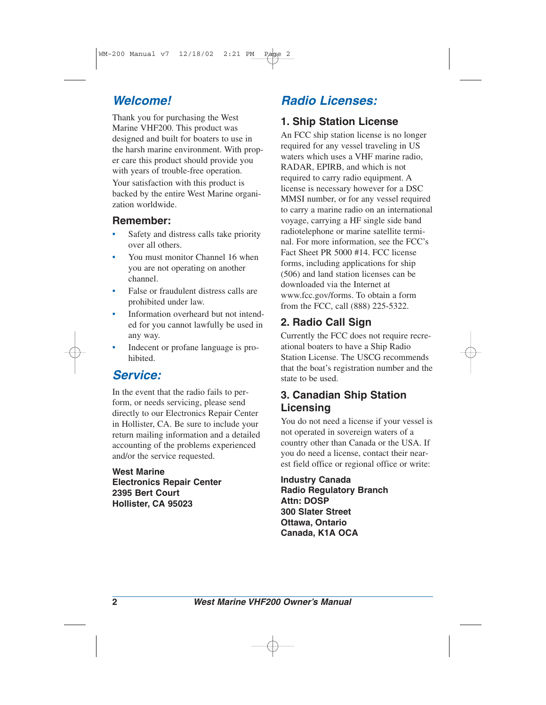#### *Welcome!*

Thank you for purchasing the West Marine VHF200. This product was designed and built for boaters to use in the harsh marine environment. With proper care this product should provide you with years of trouble-free operation.

Your satisfaction with this product is backed by the entire West Marine organization worldwide.

#### **Remember:**

- Safety and distress calls take priority over all others.
- You must monitor Channel 16 when you are not operating on another channel.
- False or fraudulent distress calls are prohibited under law.
- Information overheard but not intended for you cannot lawfully be used in any way.
- Indecent or profane language is prohibited.

## *Service:*

In the event that the radio fails to perform, or needs servicing, please send directly to our Electronics Repair Center in Hollister, CA. Be sure to include your return mailing information and a detailed accounting of the problems experienced and/or the service requested.

**West Marine Electronics Repair Center 2395 Bert Court Hollister, CA 95023**

## *Radio Licenses:*

#### **1. Ship Station License**

An FCC ship station license is no longer required for any vessel traveling in US waters which uses a VHF marine radio, RADAR, EPIRB, and which is not required to carry radio equipment. A license is necessary however for a DSC MMSI number, or for any vessel required to carry a marine radio on an international voyage, carrying a HF single side band radiotelephone or marine satellite terminal. For more information, see the FCC's Fact Sheet PR 5000 #14. FCC license forms, including applications for ship (506) and land station licenses can be downloaded via the Internet at www.fcc.gov/forms. To obtain a form from the FCC, call (888) 225-5322.

#### **2. Radio Call Sign**

Currently the FCC does not require recreational boaters to have a Ship Radio Station License. The USCG recommends that the boat's registration number and the state to be used.

#### **3. Canadian Ship Station Licensing**

You do not need a license if your vessel is not operated in sovereign waters of a country other than Canada or the USA. If you do need a license, contact their nearest field office or regional office or write:

**Industry Canada Radio Regulatory Branch Attn: DOSP 300 Slater Street Ottawa, Ontario Canada, K1A OCA**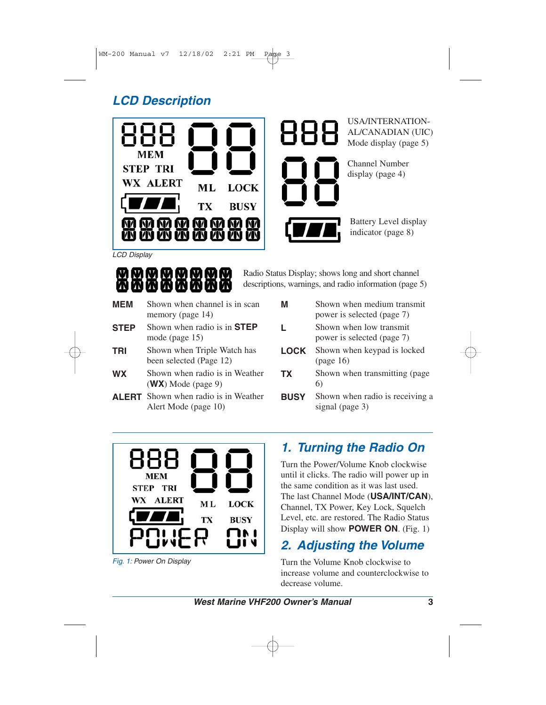# *LCD Description*





USA/INTERNATION-AL/CANADIAN (UIC) Mode display (page 5)

Channel Number display (page 4)

Battery Level display indicator (page 8)

*LCD Display*



Radio Status Display; shows long and short channel descriptions, warnings, and radio information (page 5)

- **MEM** Shown when channel is in scan memory (page 14) **STEP** Shown when radio is in **STEP** mode (page 15)
- **TRI** Shown when Triple Watch has been selected (Page 12)
- **WX** Shown when radio is in Weather (**WX**) Mode (page 9)
- **ALERT** Shown when radio is in Weather Alert Mode (page 10)

| м         | Shown when medium transmit<br>power is selected (page 7) |
|-----------|----------------------------------------------------------|
| L.        | Shown when low transmit<br>power is selected (page 7)    |
| LOCK      | Shown when keypad is locked<br>(page 16)                 |
| <b>TX</b> | Shown when transmitting (page<br>6)                      |
|           | Shown when radio is receiving a                          |



**BUSY** 

**TX** 

*Fig. 1: Power On Display*

## *1. Turning the Radio On*

signal (page 3)

Turn the Power/Volume Knob clockwise until it clicks. The radio will power up in the same condition as it was last used. The last Channel Mode (**USA/INT/CAN**), Channel, TX Power, Key Lock, Squelch Level, etc. are restored. The Radio Status Display will show **POWER ON**. (Fig. 1)

## *2. Adjusting the Volume*

Turn the Volume Knob clockwise to increase volume and counterclockwise to decrease volume.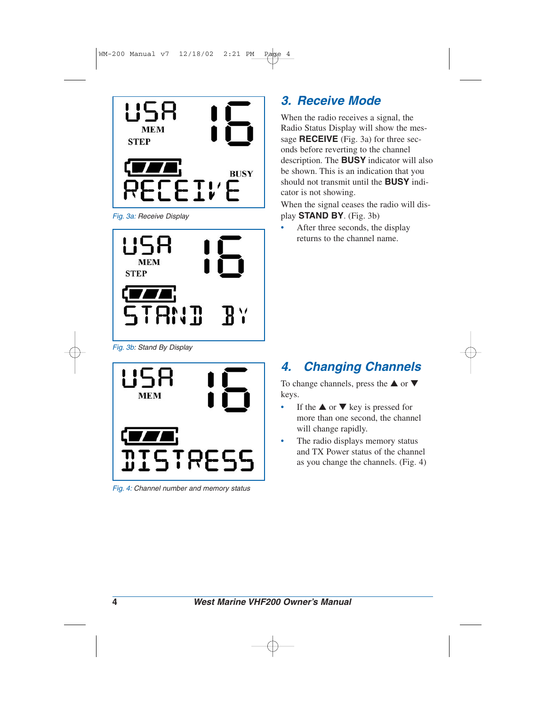

*Fig. 3a: Receive Display*



*Fig. 3b: Stand By Display*



*Fig. 4: Channel number and memory status*

# *3. Receive Mode*

When the radio receives a signal, the Radio Status Display will show the message **RECEIVE** (Fig. 3a) for three seconds before reverting to the channel description. The **BUSY** indicator will also be shown. This is an indication that you should not transmit until the **BUSY** indicator is not showing.

When the signal ceases the radio will display **STAND BY**. (Fig. 3b)

After three seconds, the display returns to the channel name.

# *4. Changing Channels*

To change channels, press the  $\triangle$  or  $\nabla$ keys.

- If the  $\triangle$  or  $\nabla$  key is pressed for more than one second, the channel will change rapidly.
- The radio displays memory status and TX Power status of the channel as you change the channels. (Fig. 4)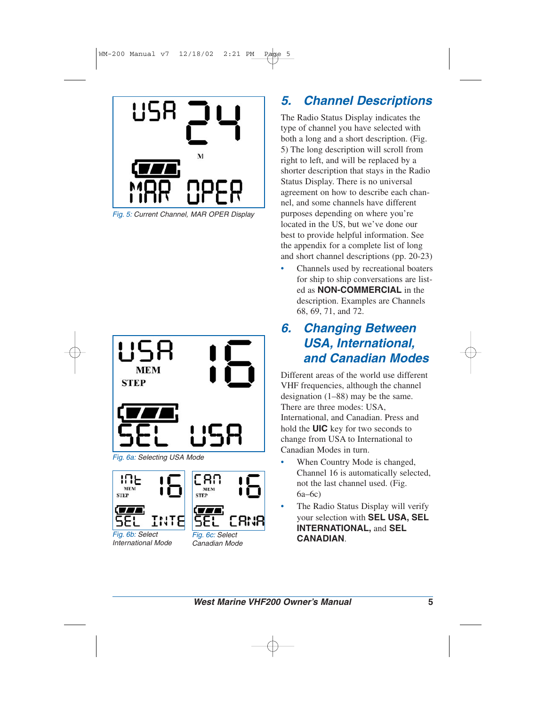

*Fig. 5: Current Channel, MAR OPER Display*





*Fig. 6b: Select International Mode*



*Fig. 6c: Select Canadian Mode*

## *5. Channel Descriptions*

The Radio Status Display indicates the type of channel you have selected with both a long and a short description. (Fig. 5) The long description will scroll from right to left, and will be replaced by a shorter description that stays in the Radio Status Display. There is no universal agreement on how to describe each channel, and some channels have different purposes depending on where you're located in the US, but we've done our best to provide helpful information. See the appendix for a complete list of long and short channel descriptions (pp. 20-23)

• Channels used by recreational boaters for ship to ship conversations are listed as **NON-COMMERCIAL** in the description. Examples are Channels 68, 69, 71, and 72.

## *6. Changing Between USA, International, and Canadian Modes*

Different areas of the world use different VHF frequencies, although the channel designation (1–88) may be the same. There are three modes: USA, International, and Canadian. Press and hold the **UIC** key for two seconds to change from USA to International to Canadian Modes in turn.

- When Country Mode is changed, Channel 16 is automatically selected, not the last channel used. (Fig. 6a–6c)
- The Radio Status Display will verify your selection with **SEL USA, SEL INTERNATIONAL,** and **SEL CANADIAN**.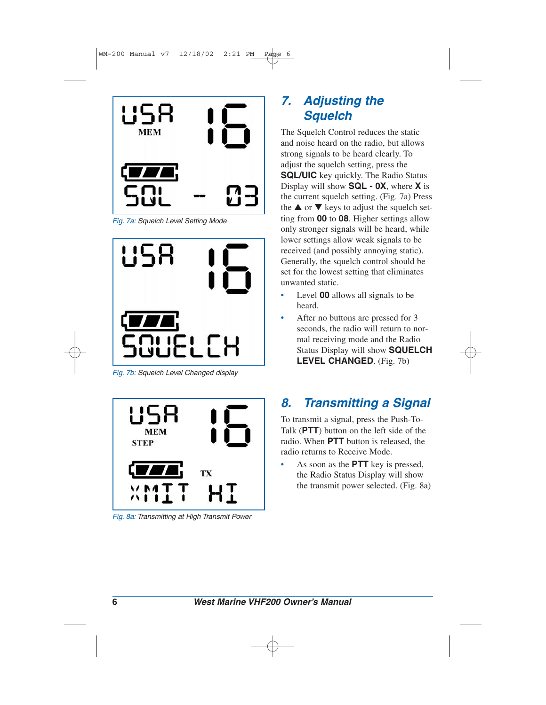

*Fig. 7a: Squelch Level Setting Mode*



*Fig. 7b: Squelch Level Changed display*



*Fig. 8a: Transmitting at High Transmit Power*

## *7. Adjusting the Squelch*

The Squelch Control reduces the static and noise heard on the radio, but allows strong signals to be heard clearly. To adjust the squelch setting, press the **SQL/UIC** key quickly. The Radio Status Display will show **SQL - 0X**, where **X** is the current squelch setting. (Fig. 7a) Press the  $\triangle$  or  $\nabla$  keys to adjust the squelch setting from **00** to **08**. Higher settings allow only stronger signals will be heard, while lower settings allow weak signals to be received (and possibly annoying static). Generally, the squelch control should be set for the lowest setting that eliminates unwanted static.

- Level **00** allows all signals to be heard.
- After no buttons are pressed for 3 seconds, the radio will return to normal receiving mode and the Radio Status Display will show **SQUELCH LEVEL CHANGED**. (Fig. 7b)

## *8. Transmitting a Signal*

To transmit a signal, press the Push-To-Talk (**PTT**) button on the left side of the radio. When **PTT** button is released, the radio returns to Receive Mode.

• As soon as the **PTT** key is pressed, the Radio Status Display will show the transmit power selected. (Fig. 8a)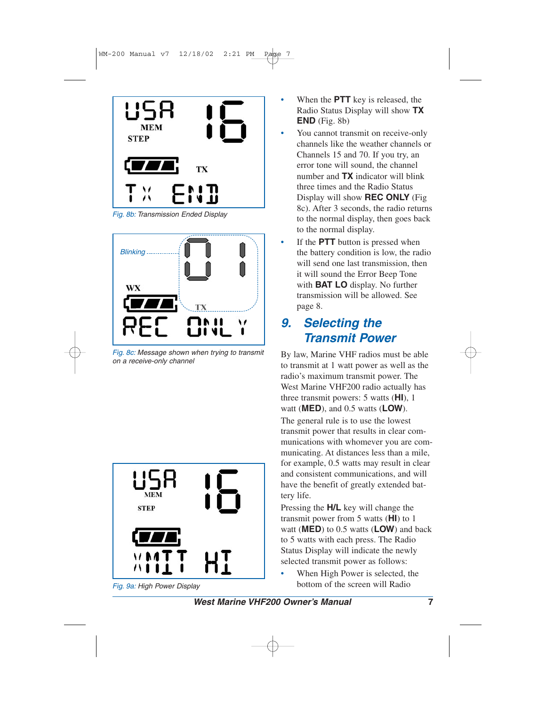

*Fig. 8b: Transmission Ended Display*



*Fig. 8c: Message shown when trying to transmit on a receive-only channel*



*Fig. 9a: High Power Display*

- When the **PTT** key is released, the Radio Status Display will show **TX END** (Fig. 8b)
- You cannot transmit on receive-only channels like the weather channels or Channels 15 and 70. If you try, an error tone will sound, the channel number and **TX** indicator will blink three times and the Radio Status Display will show **REC ONLY** (Fig 8c). After 3 seconds, the radio returns to the normal display, then goes back to the normal display.
- If the **PTT** button is pressed when the battery condition is low, the radio will send one last transmission, then it will sound the Error Beep Tone with **BAT LO** display. No further transmission will be allowed. See page 8.

#### *9. Selecting the Transmit Power*

By law, Marine VHF radios must be able to transmit at 1 watt power as well as the radio's maximum transmit power. The West Marine VHF200 radio actually has three transmit powers: 5 watts (**HI**), 1 watt (**MED**), and 0.5 watts (**LOW**). The general rule is to use the lowest transmit power that results in clear communications with whomever you are communicating. At distances less than a mile, for example, 0.5 watts may result in clear and consistent communications, and will have the benefit of greatly extended battery life.

Pressing the **H/L** key will change the transmit power from 5 watts (**HI**) to 1 watt (**MED**) to 0.5 watts (**LOW**) and back to 5 watts with each press. The Radio Status Display will indicate the newly selected transmit power as follows:

When High Power is selected, the bottom of the screen will Radio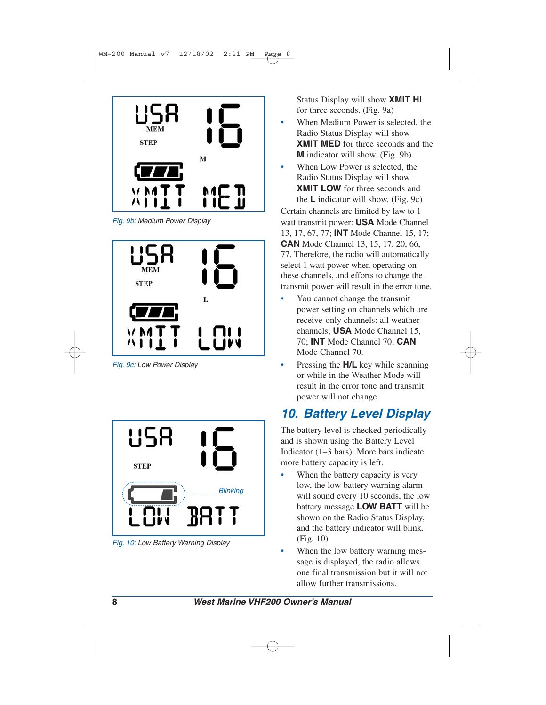

*Fig. 9b: Medium Power Display*



*Fig. 9c: Low Power Display*



*Fig. 10: Low Battery Warning Display*

Status Display will show **XMIT HI** for three seconds. (Fig. 9a)

- When Medium Power is selected, the Radio Status Display will show **XMIT MED** for three seconds and the **M** indicator will show. (Fig. 9b)
- When Low Power is selected, the Radio Status Display will show **XMIT LOW** for three seconds and the **L** indicator will show. (Fig. 9c)

Certain channels are limited by law to 1 watt transmit power: **USA** Mode Channel 13, 17, 67, 77; **INT** Mode Channel 15, 17; **CAN** Mode Channel 13, 15, 17, 20, 66, 77. Therefore, the radio will automatically select 1 watt power when operating on these channels, and efforts to change the transmit power will result in the error tone.

- You cannot change the transmit power setting on channels which are receive-only channels: all weather channels; **USA** Mode Channel 15, 70; **INT** Mode Channel 70; **CAN** Mode Channel 70.
- Pressing the **H/L** key while scanning or while in the Weather Mode will result in the error tone and transmit power will not change.

## *10. Battery Level Display*

The battery level is checked periodically and is shown using the Battery Level Indicator (1–3 bars). More bars indicate more battery capacity is left.

- When the battery capacity is very low, the low battery warning alarm will sound every 10 seconds, the low battery message **LOW BATT** will be shown on the Radio Status Display, and the battery indicator will blink. (Fig. 10)
- When the low battery warning message is displayed, the radio allows one final transmission but it will not allow further transmissions.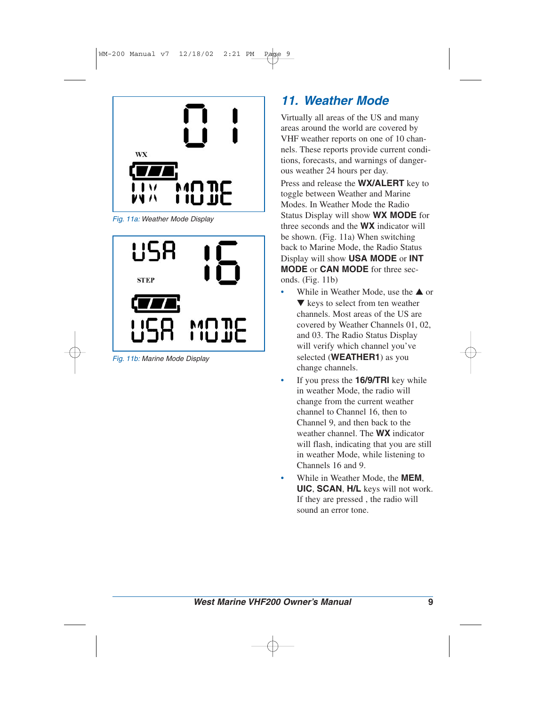

*Fig. 11a: Weather Mode Display*



*Fig. 11b: Marine Mode Display*

## *11. Weather Mode*

Virtually all areas of the US and many areas around the world are covered by VHF weather reports on one of 10 channels. These reports provide current conditions, forecasts, and warnings of dangerous weather 24 hours per day.

Press and release the **WX/ALERT** key to toggle between Weather and Marine Modes. In Weather Mode the Radio Status Display will show **WX MODE** for three seconds and the **WX** indicator will be shown. (Fig. 11a) When switching back to Marine Mode, the Radio Status Display will show **USA MODE** or **INT MODE** or **CAN MODE** for three seconds. (Fig. 11b)

- While in Weather Mode, use the  $\triangle$  or ▼ keys to select from ten weather channels. Most areas of the US are covered by Weather Channels 01, 02, and 03. The Radio Status Display will verify which channel you've selected (**WEATHER1**) as you change channels.
- If you press the **16/9/TRI** key while in weather Mode, the radio will change from the current weather channel to Channel 16, then to Channel 9, and then back to the weather channel. The **WX** indicator will flash, indicating that you are still in weather Mode, while listening to Channels 16 and 9.
- While in Weather Mode, the **MEM**, **UIC**, **SCAN**, **H/L** keys will not work. If they are pressed , the radio will sound an error tone.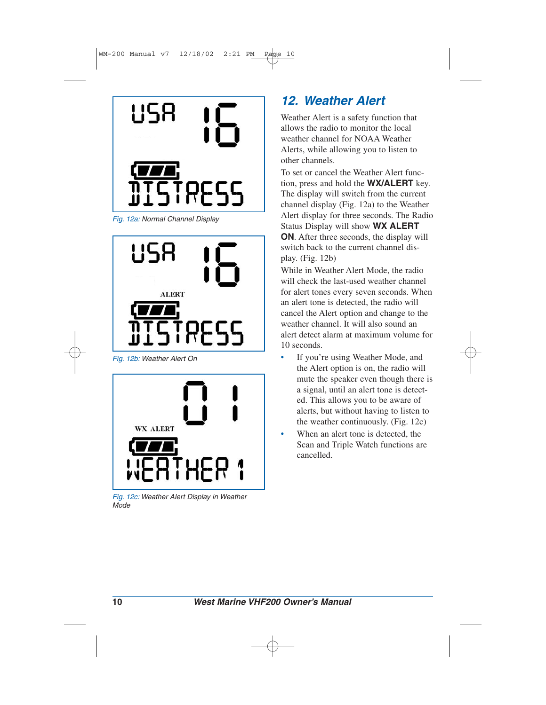

*Fig. 12a: Normal Channel Display*



*Fig. 12b: Weather Alert On*



*Fig. 12c: Weather Alert Display in Weather Mode*

## *12. Weather Alert*

Weather Alert is a safety function that allows the radio to monitor the local weather channel for NOAA Weather Alerts, while allowing you to listen to other channels.

To set or cancel the Weather Alert function, press and hold the **WX/ALERT** key. The display will switch from the current channel display (Fig. 12a) to the Weather Alert display for three seconds. The Radio Status Display will show **WX ALERT ON**. After three seconds, the display will switch back to the current channel display. (Fig. 12b)

While in Weather Alert Mode, the radio will check the last-used weather channel for alert tones every seven seconds. When an alert tone is detected, the radio will cancel the Alert option and change to the weather channel. It will also sound an alert detect alarm at maximum volume for 10 seconds.

- If you're using Weather Mode, and the Alert option is on, the radio will mute the speaker even though there is a signal, until an alert tone is detected. This allows you to be aware of alerts, but without having to listen to the weather continuously. (Fig. 12c)
- When an alert tone is detected, the Scan and Triple Watch functions are cancelled.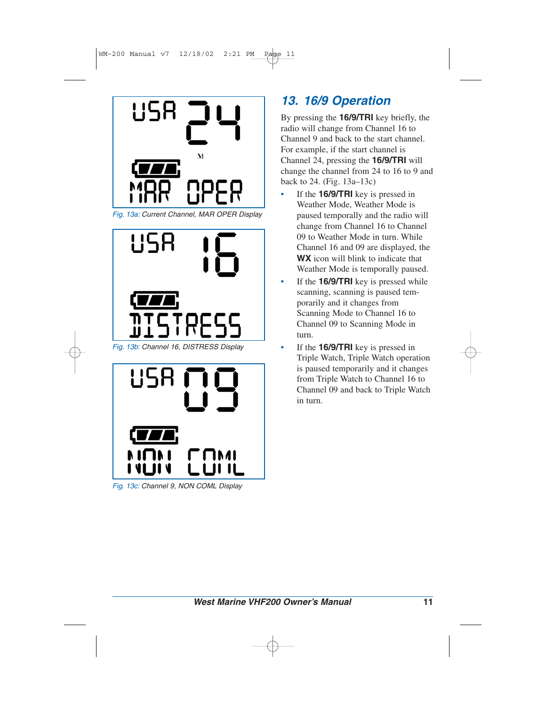

*Fig. 13a: Current Channel, MAR OPER Display*





*Fig. 13c: Channel 9, NON COML Display*

# *13. 16/9 Operation*

By pressing the **16/9/TRI** key briefly, the radio will change from Channel 16 to Channel 9 and back to the start channel. For example, if the start channel is Channel 24, pressing the **16/9/TRI** will change the channel from 24 to 16 to 9 and back to 24. (Fig. 13a–13c)

- If the **16/9/TRI** key is pressed in Weather Mode, Weather Mode is paused temporally and the radio will change from Channel 16 to Channel 09 to Weather Mode in turn. While Channel 16 and 09 are displayed, the **WX** icon will blink to indicate that Weather Mode is temporally paused.
- If the **16/9/TRI** key is pressed while scanning, scanning is paused temporarily and it changes from Scanning Mode to Channel 16 to Channel 09 to Scanning Mode in turn.
- If the **16/9/TRI** key is pressed in Triple Watch, Triple Watch operation is paused temporarily and it changes from Triple Watch to Channel 16 to Channel 09 and back to Triple Watch in turn.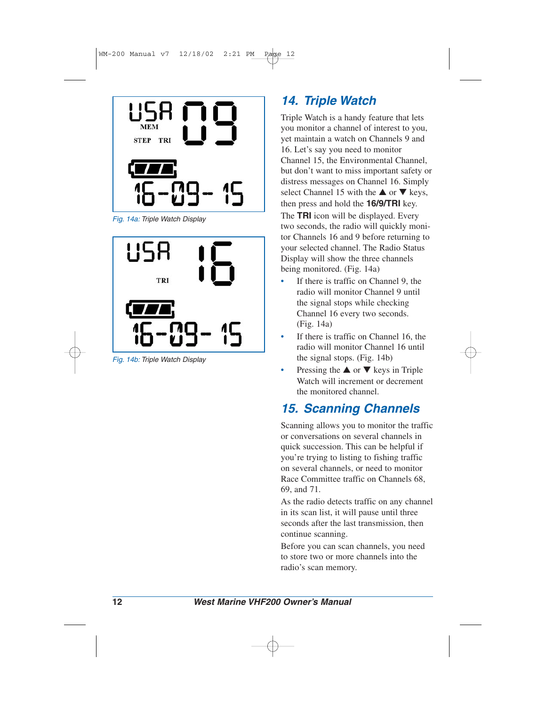

*Fig. 14a: Triple Watch Display*



*Fig. 14b: Triple Watch Display*

## *14. Triple Watch*

Triple Watch is a handy feature that lets you monitor a channel of interest to you, yet maintain a watch on Channels 9 and 16. Let's say you need to monitor Channel 15, the Environmental Channel, but don't want to miss important safety or distress messages on Channel 16. Simply select Channel 15 with the  $\triangle$  or  $\nabla$  keys, then press and hold the **16/9/TRI** key.

The **TRI** icon will be displayed. Every two seconds, the radio will quickly monitor Channels 16 and 9 before returning to your selected channel. The Radio Status Display will show the three channels being monitored. (Fig. 14a)

- If there is traffic on Channel 9, the radio will monitor Channel 9 until the signal stops while checking Channel 16 every two seconds. (Fig. 14a)
- If there is traffic on Channel 16, the radio will monitor Channel 16 until the signal stops. (Fig. 14b)
- Pressing the  $\triangle$  or  $\nabla$  keys in Triple Watch will increment or decrement the monitored channel.

## *15. Scanning Channels*

Scanning allows you to monitor the traffic or conversations on several channels in quick succession. This can be helpful if you're trying to listing to fishing traffic on several channels, or need to monitor Race Committee traffic on Channels 68, 69, and 71.

As the radio detects traffic on any channel in its scan list, it will pause until three seconds after the last transmission, then continue scanning.

Before you can scan channels, you need to store two or more channels into the radio's scan memory.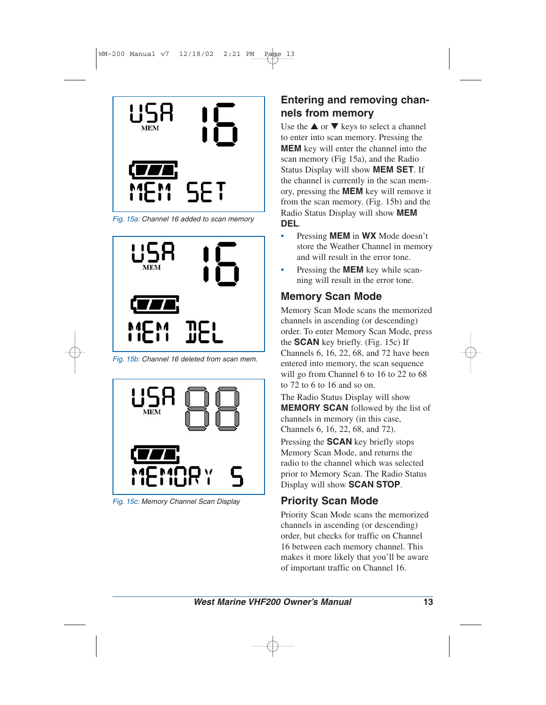

*Fig. 15a: Channel 16 added to scan memory*



*Fig. 15b: Channel 16 deleted from scan mem.*



*Fig. 15c: Memory Channel Scan Display*

#### **Entering and removing channels from memory**

Use the  $\triangle$  or  $\nabla$  keys to select a channel to enter into scan memory. Pressing the **MEM** key will enter the channel into the scan memory (Fig 15a), and the Radio Status Display will show **MEM SET**. If the channel is currently in the scan memory, pressing the **MEM** key will remove it from the scan memory. (Fig. 15b) and the Radio Status Display will show **MEM DEL**.

- Pressing **MEM** in **WX** Mode doesn't store the Weather Channel in memory and will result in the error tone.
- Pressing the **MEM** key while scanning will result in the error tone.

#### **Memory Scan Mode**

Memory Scan Mode scans the memorized channels in ascending (or descending) order. To enter Memory Scan Mode, press the **SCAN** key briefly. (Fig. 15c) If Channels 6, 16, 22, 68, and 72 have been entered into memory, the scan sequence will go from Channel 6 to 16 to 22 to 68 to 72 to 6 to 16 and so on.

The Radio Status Display will show **MEMORY SCAN** followed by the list of channels in memory (in this case, Channels 6, 16, 22, 68, and 72).

Pressing the **SCAN** key briefly stops Memory Scan Mode, and returns the radio to the channel which was selected prior to Memory Scan. The Radio Status Display will show **SCAN STOP**.

#### **Priority Scan Mode**

Priority Scan Mode scans the memorized channels in ascending (or descending) order, but checks for traffic on Channel 16 between each memory channel. This makes it more likely that you'll be aware of important traffic on Channel 16.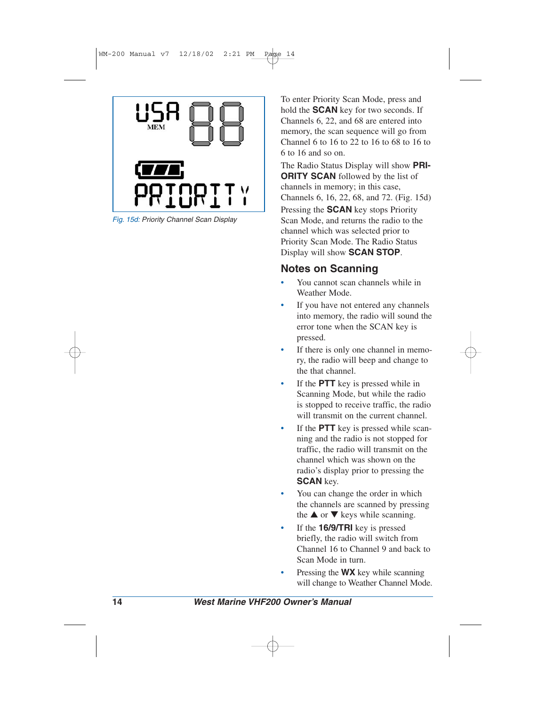

*Fig. 15d: Priority Channel Scan Display*

To enter Priority Scan Mode, press and hold the **SCAN** key for two seconds. If Channels 6, 22, and 68 are entered into memory, the scan sequence will go from Channel 6 to 16 to 22 to 16 to 68 to 16 to 6 to 16 and so on.

The Radio Status Display will show **PRI-ORITY SCAN** followed by the list of channels in memory; in this case, Channels 6, 16, 22, 68, and 72. (Fig. 15d) Pressing the **SCAN** key stops Priority Scan Mode, and returns the radio to the

channel which was selected prior to Priority Scan Mode. The Radio Status Display will show **SCAN STOP**.

#### **Notes on Scanning**

- You cannot scan channels while in Weather Mode.
- If you have not entered any channels into memory, the radio will sound the error tone when the SCAN key is pressed.
- If there is only one channel in memory, the radio will beep and change to the that channel.
- If the **PTT** key is pressed while in Scanning Mode, but while the radio is stopped to receive traffic, the radio will transmit on the current channel.
- If the **PTT** key is pressed while scanning and the radio is not stopped for traffic, the radio will transmit on the channel which was shown on the radio's display prior to pressing the **SCAN** key.
- You can change the order in which the channels are scanned by pressing the  $\triangle$  or  $\nabla$  keys while scanning.
- If the **16/9/TRI** key is pressed briefly, the radio will switch from Channel 16 to Channel 9 and back to Scan Mode in turn.
- Pressing the **WX** key while scanning will change to Weather Channel Mode.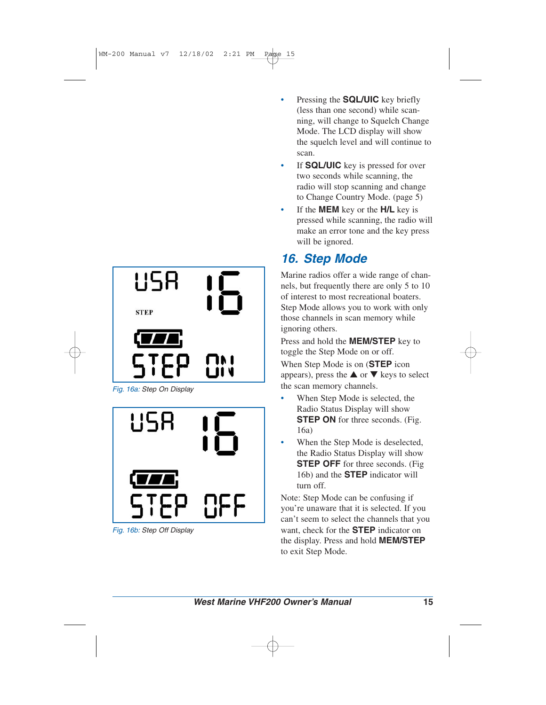

*Fig. 16a: Step On Display*



*Fig. 16b: Step Off Display*

- Pressing the **SQL/UIC** key briefly (less than one second) while scanning, will change to Squelch Change Mode. The LCD display will show the squelch level and will continue to scan.
- If **SQL/UIC** key is pressed for over two seconds while scanning, the radio will stop scanning and change to Change Country Mode. (page 5)
- If the **MEM** key or the **H/L** key is pressed while scanning, the radio will make an error tone and the key press will be ignored.

## *16. Step Mode*

Marine radios offer a wide range of channels, but frequently there are only 5 to 10 of interest to most recreational boaters. Step Mode allows you to work with only those channels in scan memory while ignoring others.

Press and hold the **MEM/STEP** key to toggle the Step Mode on or off.

When Step Mode is on (**STEP** icon appears), press the  $\triangle$  or  $\nabla$  keys to select the scan memory channels.

- When Step Mode is selected, the Radio Status Display will show **STEP ON** for three seconds. (Fig. 16a)
- When the Step Mode is deselected, the Radio Status Display will show **STEP OFF** for three seconds. (Fig. 16b) and the **STEP** indicator will turn off.

Note: Step Mode can be confusing if you're unaware that it is selected. If you can't seem to select the channels that you want, check for the **STEP** indicator on the display. Press and hold **MEM/STEP** to exit Step Mode.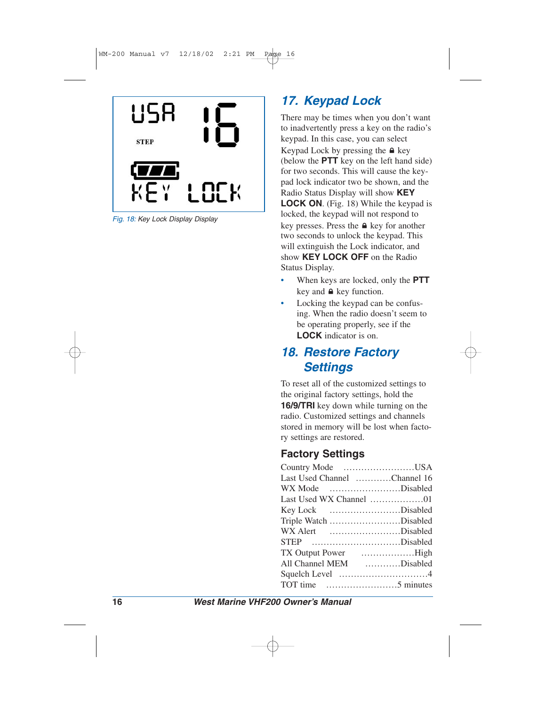

*Fig. 18: Key Lock Display Display*

## *17. Keypad Lock*

There may be times when you don't want to inadvertently press a key on the radio's keypad. In this case, you can select Keypad Lock by pressing the  $\triangle$  key (below the **PTT** key on the left hand side) for two seconds. This will cause the keypad lock indicator two be shown, and the Radio Status Display will show **KEY LOCK ON**. (Fig. 18) While the keypad is locked, the keypad will not respond to key presses. Press the  $\triangle$  key for another two seconds to unlock the keypad. This will extinguish the Lock indicator, and show **KEY LOCK OFF** on the Radio Status Display.

- When keys are locked, only the **PTT** key and  $\triangle$  key function.
- Locking the keypad can be confusing. When the radio doesn't seem to be operating properly, see if the **LOCK** indicator is on.

#### *18. Restore Factory Settings*

To reset all of the customized settings to the original factory settings, hold the **16/9/TRI** key down while turning on the radio. Customized settings and channels stored in memory will be lost when factory settings are restored.

#### **Factory Settings**

| Country Mode                 |               |
|------------------------------|---------------|
| Last Used Channel Channel 16 |               |
| WX Mode minimum.Disabled     |               |
|                              |               |
| Disabled<br>Key Lock         |               |
| Triple Watch Disabled        |               |
| WX Alert Disabled            |               |
| STEP Disabled                |               |
| <b>TX</b> Output Power       | $\ldots$ High |
| All Channel MEM              | Disabled      |
|                              |               |
| TOT time                     |               |
|                              |               |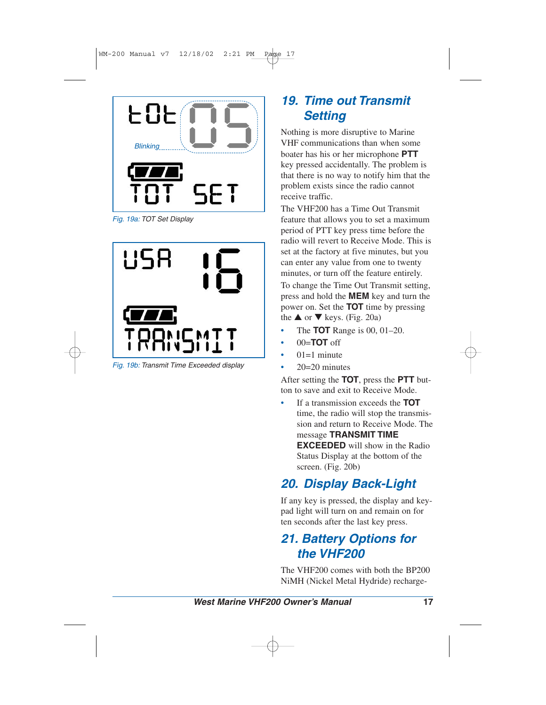

*Fig. 19a: TOT Set Display*



*Fig. 19b: Transmit Time Exceeded display*

## *19. Time out Transmit Setting*

Nothing is more disruptive to Marine VHF communications than when some boater has his or her microphone **PTT** key pressed accidentally. The problem is that there is no way to notify him that the problem exists since the radio cannot receive traffic.

The VHF200 has a Time Out Transmit feature that allows you to set a maximum period of PTT key press time before the radio will revert to Receive Mode. This is set at the factory at five minutes, but you can enter any value from one to twenty minutes, or turn off the feature entirely.

To change the Time Out Transmit setting, press and hold the **MEM** key and turn the power on. Set the **TOT** time by pressing the  $\triangle$  or  $\nabla$  keys. (Fig. 20a)

- The **TOT** Range is 00, 01–20.
- 00=**TOT** off
- $01=1$  minute
- $20=20$  minutes

After setting the **TOT**, press the **PTT** button to save and exit to Receive Mode.

• If a transmission exceeds the **TOT** time, the radio will stop the transmission and return to Receive Mode. The message **TRANSMIT TIME EXCEEDED** will show in the Radio Status Display at the bottom of the screen. (Fig. 20b)

## *20. Display Back-Light*

If any key is pressed, the display and keypad light will turn on and remain on for ten seconds after the last key press.

## *21. Battery Options for the VHF200*

The VHF200 comes with both the BP200 NiMH (Nickel Metal Hydride) recharge-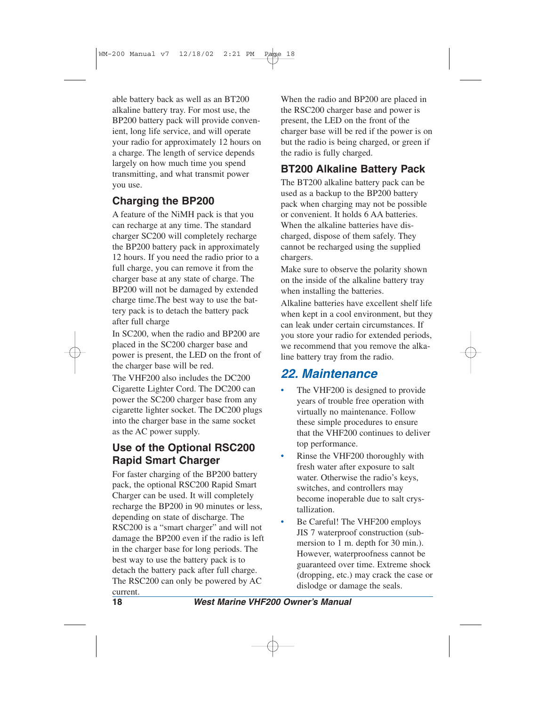able battery back as well as an BT200 alkaline battery tray. For most use, the BP200 battery pack will provide convenient, long life service, and will operate your radio for approximately 12 hours on a charge. The length of service depends largely on how much time you spend transmitting, and what transmit power you use.

#### **Charging the BP200**

A feature of the NiMH pack is that you can recharge at any time. The standard charger SC200 will completely recharge the BP200 battery pack in approximately 12 hours. If you need the radio prior to a full charge, you can remove it from the charger base at any state of charge. The BP200 will not be damaged by extended charge time.The best way to use the battery pack is to detach the battery pack after full charge

In SC200, when the radio and BP200 are placed in the SC200 charger base and power is present, the LED on the front of the charger base will be red.

The VHF200 also includes the DC200 Cigarette Lighter Cord. The DC200 can power the SC200 charger base from any cigarette lighter socket. The DC200 plugs into the charger base in the same socket as the AC power supply.

#### **Use of the Optional RSC200 Rapid Smart Charger**

For faster charging of the BP200 battery pack, the optional RSC200 Rapid Smart Charger can be used. It will completely recharge the BP200 in 90 minutes or less, depending on state of discharge. The RSC200 is a "smart charger" and will not damage the BP200 even if the radio is left in the charger base for long periods. The best way to use the battery pack is to detach the battery pack after full charge. The RSC200 can only be powered by AC current.

When the radio and BP200 are placed in the RSC200 charger base and power is present, the LED on the front of the charger base will be red if the power is on but the radio is being charged, or green if the radio is fully charged.

#### **BT200 Alkaline Battery Pack**

The BT200 alkaline battery pack can be used as a backup to the BP200 battery pack when charging may not be possible or convenient. It holds 6 AA batteries. When the alkaline batteries have discharged, dispose of them safely. They cannot be recharged using the supplied chargers.

Make sure to observe the polarity shown on the inside of the alkaline battery tray when installing the batteries.

Alkaline batteries have excellent shelf life when kept in a cool environment, but they can leak under certain circumstances. If you store your radio for extended periods, we recommend that you remove the alkaline battery tray from the radio.

## *22. Maintenance*

- The VHF200 is designed to provide years of trouble free operation with virtually no maintenance. Follow these simple procedures to ensure that the VHF200 continues to deliver top performance.
- Rinse the VHF200 thoroughly with fresh water after exposure to salt water. Otherwise the radio's keys, switches, and controllers may become inoperable due to salt crystallization.
- Be Careful! The VHF200 employs JIS 7 waterproof construction (submersion to 1 m. depth for 30 min.). However, waterproofness cannot be guaranteed over time. Extreme shock (dropping, etc.) may crack the case or dislodge or damage the seals.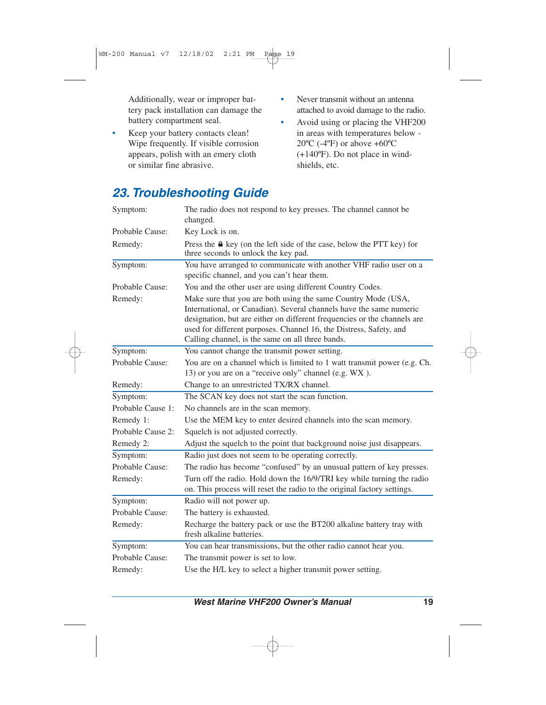Additionally, wear or improper battery pack installation can damage the battery compartment seal.

- Keep your battery contacts clean! Wipe frequently. If visible corrosion appears, polish with an emery cloth or similar fine abrasive.
- Never transmit without an antenna attached to avoid damage to the radio.
- Avoid using or placing the VHF200 in areas with temperatures below -  $20^{\circ}$ C (-4 $^{\circ}$ F) or above +60 $^{\circ}$ C (+140ºF). Do not place in windshields, etc.

| Symptom:          | The radio does not respond to key presses. The channel cannot be<br>changed.                                                                                                                                                                                                                                                               |  |  |  |
|-------------------|--------------------------------------------------------------------------------------------------------------------------------------------------------------------------------------------------------------------------------------------------------------------------------------------------------------------------------------------|--|--|--|
| Probable Cause:   | Key Lock is on.                                                                                                                                                                                                                                                                                                                            |  |  |  |
| Remedy:           | Press the <b>△</b> key (on the left side of the case, below the PTT key) for<br>three seconds to unlock the key pad.                                                                                                                                                                                                                       |  |  |  |
| Symptom:          | You have arranged to communicate with another VHF radio user on a<br>specific channel, and you can't hear them.                                                                                                                                                                                                                            |  |  |  |
| Probable Cause:   | You and the other user are using different Country Codes.                                                                                                                                                                                                                                                                                  |  |  |  |
| Remedy:           | Make sure that you are both using the same Country Mode (USA,<br>International, or Canadian). Several channels have the same numeric<br>designation, but are either on different frequencies or the channels are<br>used for different purposes. Channel 16, the Distress, Safety, and<br>Calling channel, is the same on all three bands. |  |  |  |
| Symptom:          | You cannot change the transmit power setting.                                                                                                                                                                                                                                                                                              |  |  |  |
| Probable Cause:   | You are on a channel which is limited to 1 watt transmit power (e.g. Ch.<br>13) or you are on a "receive only" channel (e.g. WX).                                                                                                                                                                                                          |  |  |  |
| Remedy:           | Change to an unrestricted TX/RX channel.                                                                                                                                                                                                                                                                                                   |  |  |  |
| Symptom:          | The SCAN key does not start the scan function.                                                                                                                                                                                                                                                                                             |  |  |  |
| Probable Cause 1: | No channels are in the scan memory.                                                                                                                                                                                                                                                                                                        |  |  |  |
| Remedy 1:         | Use the MEM key to enter desired channels into the scan memory.                                                                                                                                                                                                                                                                            |  |  |  |
| Probable Cause 2: | Squelch is not adjusted correctly.                                                                                                                                                                                                                                                                                                         |  |  |  |
| Remedy 2:         | Adjust the squelch to the point that background noise just disappears.                                                                                                                                                                                                                                                                     |  |  |  |
| Symptom:          | Radio just does not seem to be operating correctly.                                                                                                                                                                                                                                                                                        |  |  |  |
| Probable Cause:   | The radio has become "confused" by an unusual pattern of key presses.                                                                                                                                                                                                                                                                      |  |  |  |
| Remedy:           | Turn off the radio. Hold down the 16/9/TRI key while turning the radio<br>on. This process will reset the radio to the original factory settings.                                                                                                                                                                                          |  |  |  |
| Symptom:          | Radio will not power up.                                                                                                                                                                                                                                                                                                                   |  |  |  |
| Probable Cause:   | The battery is exhausted.                                                                                                                                                                                                                                                                                                                  |  |  |  |
| Remedy:           | Recharge the battery pack or use the BT200 alkaline battery tray with<br>fresh alkaline batteries.                                                                                                                                                                                                                                         |  |  |  |
| Symptom:          | You can hear transmissions, but the other radio cannot hear you.                                                                                                                                                                                                                                                                           |  |  |  |
| Probable Cause:   | The transmit power is set to low.                                                                                                                                                                                                                                                                                                          |  |  |  |
| Remedy:           | Use the H/L key to select a higher transmit power setting.                                                                                                                                                                                                                                                                                 |  |  |  |

## *23. Troubleshooting Guide*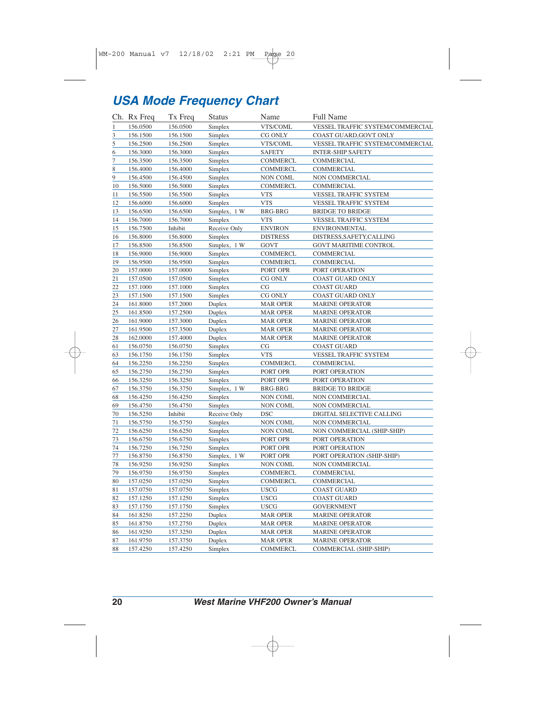## *USA Mode Frequency Chart*

|                 | Ch. Rx Freq | Tx Freq  | Status       | Name            | <b>Full Name</b>                 |
|-----------------|-------------|----------|--------------|-----------------|----------------------------------|
| $\mathbf{1}$    | 156.0500    | 156.0500 | Simplex      | VTS/COML        | VESSEL TRAFFIC SYSTEM/COMMERCIAL |
| $\overline{3}$  | 156.1500    | 156.1500 | Simplex      | CG ONLY         | COAST GUARD, GOVT ONLY           |
| $\overline{5}$  | 156.2500    | 156.2500 | Simplex      | VTS/COML        | VESSEL TRAFFIC SYSTEM/COMMERCIAL |
| $\underline{6}$ | 156.3000    | 156.3000 | Simplex      | <b>SAFETY</b>   | <b>INTER-SHIP SAFETY</b>         |
| $\overline{1}$  | 156.3500    | 156.3500 | Simplex      | COMMERCL        | COMMERCIAL                       |
| 8               | 156.4000    | 156.4000 | Simplex      | COMMERCL        | COMMERCIAL                       |
| 9               | 156.4500    | 156.4500 | Simplex      | <b>NON COML</b> | NON COMMERCIAL                   |
| 10              | 156.5000    | 156.5000 | Simplex      | <b>COMMERCL</b> | COMMERCIAL                       |
| 11              | 156.5500    | 156.5500 | Simplex      | <b>VTS</b>      | VESSEL TRAFFIC SYSTEM            |
| 12              | 156.6000    | 156.6000 | Simplex      | <b>VTS</b>      | VESSEL TRAFFIC SYSTEM            |
| <u>13</u>       | 156.6500    | 156.6500 | Simplex, 1 W | <b>BRG-BRG</b>  | <b>BRIDGE TO BRIDGE</b>          |
| 14              | 156.7000    | 156.7000 | Simplex      | <b>VTS</b>      | VESSEL TRAFFIC SYSTEM            |
| 15              | 156.7500    | Inhibit  | Receive Only | <b>ENVIRON</b>  | <b>ENVIRONMENTAL</b>             |
| 16              | 156.8000    | 156.8000 | Simplex      | <b>DISTRESS</b> | DISTRESS, SAFETY, CALLING        |
| 17              | 156.8500    | 156.8500 | Simplex, 1 W | <b>GOVT</b>     | <b>GOVT MARITIME CONTROL</b>     |
| 18              | 156.9000    | 156.9000 | Simplex      | <b>COMMERCL</b> | COMMERCIAL                       |
| 19              | 156.9500    | 156.9500 | Simplex      | <b>COMMERCL</b> | COMMERCIAL                       |
| 20              | 157.0000    | 157.0000 | Simplex      | PORT OPR        | PORT OPERATION                   |
| 21              | 157.0500    | 157.0500 | Simplex      | CG ONLY         | COAST GUARD ONLY                 |
| 22              | 157.1000    | 157.1000 | Simplex      | CG              | <b>COAST GUARD</b>               |
| 23              | 157.1500    | 157.1500 | Simplex      | CG ONLY         | COAST GUARD ONLY                 |
| 24              | 161.8000    | 157.2000 | Duplex       | <b>MAR OPER</b> | <b>MARINE OPERATOR</b>           |
| 25              | 161.8500    | 157.2500 | Duplex       | <b>MAR OPER</b> | <b>MARINE OPERATOR</b>           |
| <u>26</u>       | 161.9000    | 157.3000 | Duplex       | <b>MAR OPER</b> | <b>MARINE OPERATOR</b>           |
| 27              | 161.9500    | 157.3500 | Duplex       | <b>MAR OPER</b> | MARINE OPERATOR                  |
| 28              | 162.0000    | 157.4000 | Duplex       | <b>MAR OPER</b> | <b>MARINE OPERATOR</b>           |
| 61              | 156.0750    | 156.0750 | Simplex      | CG              | <b>COAST GUARD</b>               |
| 63              | 156.1750    | 156.1750 | Simplex      | <b>VTS</b>      | VESSEL TRAFFIC SYSTEM            |
| 64              | 156.2250    | 156.2250 | Simplex      | COMMERCL        | COMMERCIAL                       |
| 65              | 156.2750    | 156.2750 | Simplex      | PORT OPR        | PORT OPERATION                   |
| 66              | 156.3250    | 156.3250 | Simplex      | PORT OPR        | PORT OPERATION                   |
| 67              | 156.3750    | 156.3750 | Simplex, 1 W | <b>BRG-BRG</b>  | <b>BRIDGE TO BRIDGE</b>          |
| 68              | 156.4250    | 156.4250 | Simplex      | <b>NON COML</b> | NON COMMERCIAL                   |
| 69              | 156.4750    | 156.4750 | Simplex      | <b>NON COML</b> | NON COMMERCIAL                   |
| 70              | 156.5250    | Inhibit  | Receive Only | DSC             | DIGITAL SELECTIVE CALLING        |
| 71              | 156.5750    | 156.5750 | Simplex      | <b>NON COML</b> | NON COMMERCIAL                   |
| 72              | 156.6250    | 156.6250 | Simplex      | NON COML        | NON COMMERCIAL (SHIP-SHIP)       |
| 73              | 156.6750    | 156.6750 | Simplex      | PORT OPR        | PORT OPERATION                   |
| $\frac{74}{1}$  | 156.7250    | 156.7250 | Simplex      | PORT OPR        | PORT OPERATION                   |
| 77              | 156.8750    | 156.8750 | Simplex, 1 W | PORT OPR        | PORT OPERATION (SHIP-SHIP)       |
| 78              | 156.9250    | 156.9250 | Simplex      | NON COML        | NON COMMERCIAL                   |
| 79              | 156.9750    | 156.9750 | Simplex      | <b>COMMERCL</b> | COMMERCIAL                       |
| 80              | 157.0250    | 157.0250 | Simplex      | COMMERCL        | COMMERCIAL                       |
| 81              | 157.0750    | 157.0750 | Simplex      | USCG            | COAST GUARD                      |
| 82              | 157.1250    | 157.1250 | Simplex      | <b>USCG</b>     | <b>COAST GUARD</b>               |
| 83              | 157.1750    | 157.1750 | Simplex      | <b>USCG</b>     | <b>GOVERNMENT</b>                |
| 84              | 161.8250    | 157.2250 | Duplex       | <b>MAR OPER</b> | <b>MARINE OPERATOR</b>           |
| 85              | 161.8750    | 157.2750 | Duplex       | <b>MAR OPER</b> | <b>MARINE OPERATOR</b>           |
| 86              | 161.9250    | 157.3250 | Duplex       | <b>MAR OPER</b> | <b>MARINE OPERATOR</b>           |
| 87              | 161.9750    | 157.3750 | Duplex       | <b>MAR OPER</b> | <b>MARINE OPERATOR</b>           |
| 88              | 157.4250    | 157.4250 | Simplex      | <b>COMMERCL</b> | COMMERCIAL (SHIP-SHIP)           |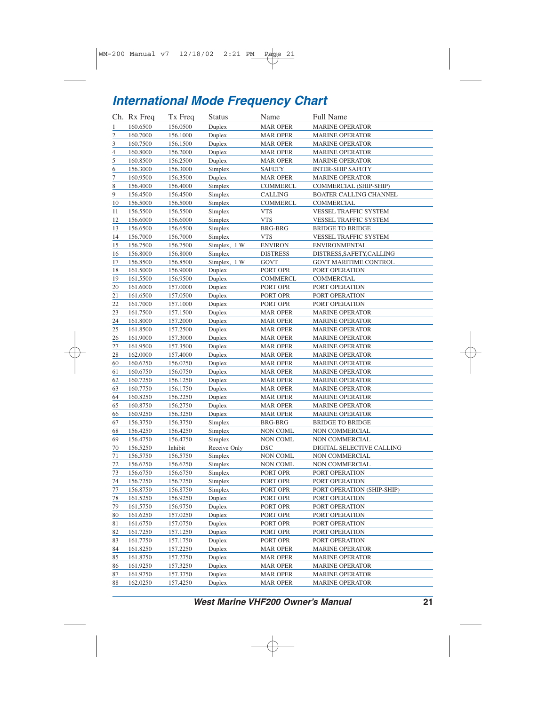## *International Mode Frequency Chart*

|                | Ch. Rx Freq | Tx Freq              | Status       | Name            | <b>Full Name</b>           |
|----------------|-------------|----------------------|--------------|-----------------|----------------------------|
| $\,1$          | 160.6500    | 156.0500             | Duplex       | <b>MAR OPER</b> | <b>MARINE OPERATOR</b>     |
| $\overline{2}$ | 160.7000    | 156.1000             | Duplex       | <b>MAR OPER</b> | <b>MARINE OPERATOR</b>     |
| $\overline{3}$ | 160.7500    | 156.1500             | Duplex       | MAR OPER        | <b>MARINE OPERATOR</b>     |
| $\overline{4}$ | 160.8000    | 156.2000             | Duplex       | <b>MAR OPER</b> | <b>MARINE OPERATOR</b>     |
| $\overline{5}$ | 160.8500    | 156.2500             | Duplex       | <b>MAR OPER</b> | <b>MARINE OPERATOR</b>     |
| 6              | 156.3000    | 156.3000             | Simplex      | <b>SAFETY</b>   | <b>INTER-SHIP SAFETY</b>   |
| $\overline{7}$ | 160.9500    | 156.3500             | Duplex       | <b>MAR OPER</b> | <b>MARINE OPERATOR</b>     |
| 8              | 156.4000    | 156.4000             | Simplex      | COMMERCL        | COMMERCIAL (SHIP-SHIP)     |
| 9              | 156.4500    | 156.4500             | Simplex      | CALLING         | BOATER CALLING CHANNEL     |
| 10             | 156.5000    | 156.5000             | Simplex      | COMMERCL        | COMMERCIAL                 |
| 11             | 156.5500    | 156.5500             | Simplex      | <b>VTS</b>      | VESSEL TRAFFIC SYSTEM      |
| 12             | 156.6000    | 156.6000             | Simplex      | <b>VTS</b>      | VESSEL TRAFFIC SYSTEM      |
| 13             | 156.6500    | 156.6500             | Simplex      | <b>BRG-BRG</b>  | <b>BRIDGE TO BRIDGE</b>    |
| 14             | 156.7000    | 156.7000             | Simplex      | <b>VTS</b>      | VESSEL TRAFFIC SYSTEM      |
| 15             | 156.7500    | 156.7500             | Simplex, 1 W | <b>ENVIRON</b>  | <b>ENVIRONMENTAL</b>       |
| 16             | 156.8000    | 156.8000             | Simplex      | <b>DISTRESS</b> | DISTRESS, SAFETY, CALLING  |
| 17             | 156.8500    | 156.8500             | Simplex, 1 W | GOVT            | GOVT MARITIME CONTROL      |
| 18             | 161.5000    | 156.9000             | Duplex       | PORT OPR        | PORT OPERATION             |
| 19             | 161.5500    | 156.9500             | Duplex       | <b>COMMERCL</b> | COMMERCIAL                 |
| 20             | 161.6000    | 157.0000             | Duplex       | PORT OPR        | PORT OPERATION             |
| 21             | 161.6500    | 157.0500             | Duplex       | PORT OPR        | PORT OPERATION             |
| 22             | 161.7000    | 157.1000             | Duplex       | PORT OPR        | PORT OPERATION             |
| 23             | 161.7500    | 157.1500             | Duplex       | <b>MAR OPER</b> | <b>MARINE OPERATOR</b>     |
| 24             | 161.8000    | 157.2000             | Duplex       | <b>MAR OPER</b> | <b>MARINE OPERATOR</b>     |
| 25             | 161.8500    | 157.2500             | Duplex       | <b>MAR OPER</b> | <b>MARINE OPERATOR</b>     |
| 26             | 161.9000    | 157.3000             | Duplex       | <b>MAR OPER</b> | <b>MARINE OPERATOR</b>     |
| 27             | 161.9500    | 157.3500             | Duplex       | <b>MAR OPER</b> | <b>MARINE OPERATOR</b>     |
| 28             | 162.0000    | 157.4000             | Duplex       | MAR OPER        | <b>MARINE OPERATOR</b>     |
| 60             | 160.6250    | 156.0250             | Duplex       | <b>MAR OPER</b> | <b>MARINE OPERATOR</b>     |
| 61             | 160.6750    | 156.0750             | Duplex       | <b>MAR OPER</b> | <b>MARINE OPERATOR</b>     |
| 62             | 160.7250    | 156.1250             | Duplex       | MAR OPER        | <b>MARINE OPERATOR</b>     |
| 63             | 160.7750    | 156.1750             | Duplex       | <b>MAR OPER</b> | <b>MARINE OPERATOR</b>     |
| 64             | 160.8250    | 156.2250             | Duplex       | <b>MAR OPER</b> | <b>MARINE OPERATOR</b>     |
| 65             | 160.8750    | 156.2750             | Duplex       | MAR OPER        | MARINE OPERATOR            |
| 66             | 160.9250    | 156.3250             | Duplex       | <b>MAR OPER</b> | <b>MARINE OPERATOR</b>     |
| 67             | 156.3750    | 156.3750             | Simplex      | BRG-BRG         | <b>BRIDGE TO BRIDGE</b>    |
| 68             | 156.4250    | 156.4250             | Simplex      | NON COML        | NON COMMERCIAL             |
| 69             | 156.4750    | 156.4750             | Simplex      | <b>NON COML</b> | NON COMMERCIAL             |
| 70             | 156.5250    | Inhibit              | Receive Only | DSC             | DIGITAL SELECTIVE CALLING  |
| 71             | 156.5750    | 156.5750             | Simplex      | <b>NON COML</b> | <b>NON COMMERCIAL</b>      |
| 72             | 156.6250    | 156.6250             | Simplex      | NON COML        | NON COMMERCIAL             |
| 73             | 156.6750    | 156.6750             | Simplex      | PORT OPR        | PORT OPERATION             |
| 74             | 156.7250    | 156.7250             | Simplex      | PORT OPR        | PORT OPERATION             |
| 77             | 156.8750    | 156.8750             | Simplex      | PORT OPR        | PORT OPERATION (SHIP-SHIP) |
| 78             | 161.5250    | 156.9250             | Duplex       | PORT OPR        | PORT OPERATION             |
| 79             | 161.5750    | 156.9750             | Duplex       | PORT OPR        | PORT OPERATION             |
| 80             | 161.6250    |                      | Duplex       | PORT OPR        | PORT OPERATION             |
|                | 161.6750    | 157.0250             | Duplex       | PORT OPR        | PORT OPERATION             |
| 81<br>82       | 161.7250    | 157.0750<br>157.1250 | Duplex       | PORT OPR        | PORT OPERATION             |
|                |             |                      | Duplex       |                 | PORT OPERATION             |
| 83             | 161.7750    | 157.1750             | Duplex       | PORT OPR        |                            |
| 84             | 161.8250    | 157.2250             | Duplex       | <b>MAR OPER</b> | <b>MARINE OPERATOR</b>     |
| 85             | 161.8750    | 157.2750             |              | MAR OPER        | <b>MARINE OPERATOR</b>     |
| 86             | 161.9250    | 157.3250             | Duplex       | <b>MAR OPER</b> | <b>MARINE OPERATOR</b>     |
| 87             | 161.9750    | 157.3750             | Duplex       | <b>MAR OPER</b> | MARINE OPERATOR            |
| $88\,$         | 162.0250    | 157.4250             | Duplex       | <b>MAR OPER</b> | MARINE OPERATOR            |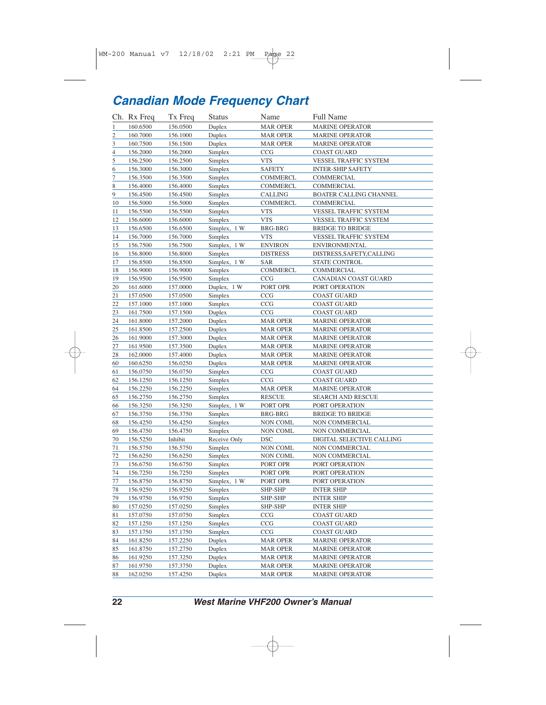## *Canadian Mode Frequency Chart*

|                  | Ch. Rx Freq | Tx Freq  | <b>Status</b> | Name            | <b>Full Name</b>              |
|------------------|-------------|----------|---------------|-----------------|-------------------------------|
| $\overline{1}$   | 160.6500    | 156.0500 | Duplex        | <b>MAR OPER</b> | <b>MARINE OPERATOR</b>        |
| $\overline{2}$   | 160.7000    | 156.1000 | Duplex        | <b>MAR OPER</b> | <b>MARINE OPERATOR</b>        |
| $\overline{3}$   | 160.7500    | 156.1500 | Duplex        | <b>MAR OPER</b> | <b>MARINE OPERATOR</b>        |
| $\overline{4}$   | 156.2000    | 156.2000 | Simplex       | CCG             | <b>COAST GUARD</b>            |
| $\overline{5}$   | 156.2500    | 156.2500 | Simplex       | <b>VTS</b>      | VESSEL TRAFFIC SYSTEM         |
| $6 \overline{6}$ | 156.3000    | 156.3000 | Simplex       | <b>SAFETY</b>   | <b>INTER-SHIP SAFETY</b>      |
| 7                | 156.3500    | 156.3500 | Simplex       | <b>COMMERCL</b> | COMMERCIAL                    |
| 8                | 156.4000    | 156.4000 | Simplex       | <b>COMMERCL</b> | COMMERCIAL                    |
| 9                | 156.4500    | 156.4500 | Simplex       | CALLING         | <b>BOATER CALLING CHANNEL</b> |
| 10               | 156.5000    | 156.5000 | Simplex       | COMMERCL        | COMMERCIAL                    |
| 11               | 156.5500    | 156.5500 | Simplex       | <b>VTS</b>      | VESSEL TRAFFIC SYSTEM         |
| 12               | 156.6000    | 156.6000 | Simplex       | <b>VTS</b>      | VESSEL TRAFFIC SYSTEM         |
| 13               | 156.6500    | 156.6500 | Simplex, 1 W  | <b>BRG-BRG</b>  | <b>BRIDGE TO BRIDGE</b>       |
| 14               | 156.7000    | 156.7000 | Simplex       | <b>VTS</b>      | VESSEL TRAFFIC SYSTEM         |
| 15               | 156.7500    | 156.7500 | Simplex, 1 W  | <b>ENVIRON</b>  | <b>ENVIRONMENTAL</b>          |
| 16               | 156.8000    | 156.8000 | Simplex       | <b>DISTRESS</b> | DISTRESS, SAFETY, CALLING     |
| <u>17</u>        | 156.8500    | 156.8500 | Simplex, 1 W  | <b>SAR</b>      | STATE CONTROL                 |
| 18               | 156.9000    | 156.9000 | Simplex       | <b>COMMERCL</b> | COMMERCIAL                    |
| 19               | 156.9500    | 156.9500 | Simplex       | CCG             | CANADIAN COAST GUARD          |
| 20               | 161.6000    | 157.0000 | Duplex, 1 W   | PORT OPR        | PORT OPERATION                |
| 21               | 157.0500    | 157.0500 | Simplex       | CCG             | <b>COAST GUARD</b>            |
| 22               | 157.1000    | 157.1000 | Simplex       | CCG             | <b>COAST GUARD</b>            |
| 23               | 161.7500    | 157.1500 | Duplex        | CCG             | <b>COAST GUARD</b>            |
| $^{24}$          | 161.8000    | 157.2000 | Duplex        | <b>MAR OPER</b> | <b>MARINE OPERATOR</b>        |
| 25               | 161.8500    | 157.2500 | Duplex        | <b>MAR OPER</b> | <b>MARINE OPERATOR</b>        |
| 26               | 161.9000    | 157.3000 | Duplex        | <b>MAR OPER</b> | <b>MARINE OPERATOR</b>        |
| 27               | 161.9500    | 157.3500 | Duplex        | <b>MAR OPER</b> | <b>MARINE OPERATOR</b>        |
| 28               | 162.0000    | 157.4000 | Duplex        | <b>MAR OPER</b> | <b>MARINE OPERATOR</b>        |
| 60               | 160.6250    | 156.0250 | Duplex        | <b>MAR OPER</b> | <b>MARINE OPERATOR</b>        |
| <u>61</u>        | 156.0750    | 156.0750 | Simplex       | CCG             | <b>COAST GUARD</b>            |
| 62               | 156.1250    | 156.1250 | Simplex       | CCG             | <b>COAST GUARD</b>            |
| 64               | 156.2250    | 156.2250 | Simplex       | <b>MAR OPER</b> | MARINE OPERATOR               |
| 65               | 156.2750    | 156.2750 | Simplex       | <b>RESCUE</b>   | <b>SEARCH AND RESCUE</b>      |
| 66               | 156.3250    | 156.3250 | Simplex, 1 W  | PORT OPR        | PORT OPERATION                |
| 67               | 156.3750    | 156.3750 | Simplex       | <b>BRG-BRG</b>  | <b>BRIDGE TO BRIDGE</b>       |
| 68               | 156.4250    | 156.4250 | Simplex       | <b>NON COML</b> | NON COMMERCIAL                |
| 69               | 156.4750    | 156.4750 | Simplex       | <b>NON COML</b> | NON COMMERCIAL                |
| 70               | 156.5250    | Inhibit  | Receive Only  | <b>DSC</b>      | DIGITAL SELECTIVE CALLING     |
| 71               | 156.5750    | 156.5750 | Simplex       | <b>NON COML</b> | NON COMMERCIAL                |
| 72               | 156.6250    | 156.6250 | Simplex       | <b>NON COML</b> | NON COMMERCIAL                |
| 73               | 156.6750    | 156.6750 | Simplex       | PORT OPR        | PORT OPERATION                |
| 74               | 156.7250    | 156.7250 | Simplex       | PORT OPR        | PORT OPERATION                |
| $\frac{77}{2}$   | 156.8750    | 156.8750 | Simplex, 1 W  | PORT OPR        | PORT OPERATION                |
| 78               | 156.9250    | 156.9250 | Simplex       | SHP-SHP         | <b>INTER SHIP</b>             |
| 79               | 156.9750    | 156.9750 | Simplex       | SHP-SHP         | <b>INTER SHIP</b>             |
| 80               | 157.0250    | 157.0250 | Simplex       | SHP-SHP         | <b>INTER SHIP</b>             |
| 81               | 157.0750    | 157.0750 | Simplex       | CCG             | COAST GUARD                   |
| 82               | 157.1250    | 157.1250 | Simplex       | CCG             | <b>COAST GUARD</b>            |
| 83               | 157.1750    | 157.1750 | Simplex       | CCG             | <b>COAST GUARD</b>            |
| 84               | 161.8250    | 157.2250 | Duplex        | <b>MAR OPER</b> | <b>MARINE OPERATOR</b>        |
| 85               | 161.8750    | 157.2750 | Duplex        | <b>MAR OPER</b> | <b>MARINE OPERATOR</b>        |
| 86               | 161.9250    | 157.3250 | Duplex        | <b>MAR OPER</b> | <b>MARINE OPERATOR</b>        |
| 87               | 161.9750    | 157.3750 | Duplex        | <b>MAR OPER</b> | <b>MARINE OPERATOR</b>        |
| 88               | 162.0250    | 157.4250 | Duplex        | <b>MAR OPER</b> | <b>MARINE OPERATOR</b>        |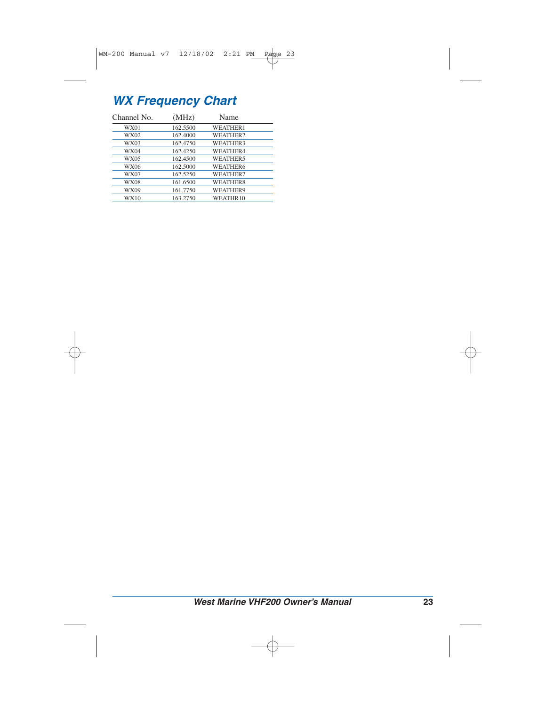## *WX Frequency Chart*

| Channel No. | (MHz)    | Name            |  |
|-------------|----------|-----------------|--|
| WX01        | 162.5500 | WEATHER1        |  |
| WX02        | 162.4000 | WEATHER2        |  |
| WX03        | 162.4750 | WEATHER3        |  |
| WX04        | 162.4250 | WEATHER4        |  |
| WX05        | 162.4500 | <b>WEATHER5</b> |  |
| <b>WX06</b> | 162.5000 | <b>WEATHER6</b> |  |
| <b>WX07</b> | 162.5250 | WEATHER7        |  |
| WX08        | 161.6500 | WEATHER8        |  |
| WX09        | 161.7750 | WEATHER9        |  |
| WX10        | 163.2750 | WEATHR10        |  |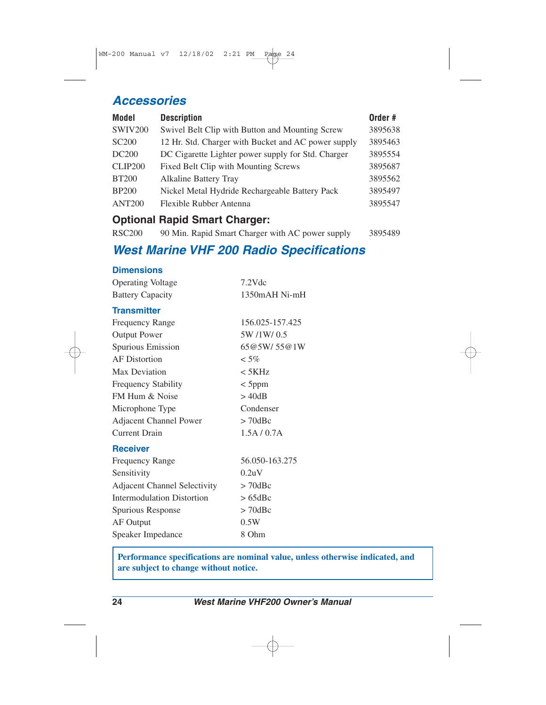#### *Accessories*

| <b>Model</b>      | <b>Description</b>                                  | Order # |
|-------------------|-----------------------------------------------------|---------|
| <b>SWIV200</b>    | Swivel Belt Clip with Button and Mounting Screw     | 3895638 |
| <b>SC200</b>      | 12 Hr. Std. Charger with Bucket and AC power supply | 3895463 |
| DC <sub>200</sub> | DC Cigarette Lighter power supply for Std. Charger  | 3895554 |
| <b>CLIP200</b>    | Fixed Belt Clip with Mounting Screws                | 3895687 |
| <b>BT200</b>      | <b>Alkaline Battery Tray</b>                        | 3895562 |
| <b>BP200</b>      | Nickel Metal Hydride Rechargeable Battery Pack      | 3895497 |
| <b>ANT200</b>     | Flexible Rubber Antenna                             | 3895547 |
|                   |                                                     |         |

#### **Optional Rapid Smart Charger:**

| <b>RSC200</b> | 90 Min. Rapid Smart Charger with AC power supply |  |  | 3895489 |
|---------------|--------------------------------------------------|--|--|---------|
|               |                                                  |  |  |         |

#### *West Marine VHF 200 Radio Specifications*

#### **Dimensions**

| <b>Operating Voltage</b> | $7.2$ Vdc     |
|--------------------------|---------------|
| <b>Battery Capacity</b>  | 1350mAH Ni-mH |
|                          |               |

#### **Transmitter**

| <b>Frequency Range</b>        | 156.025-157.425 |
|-------------------------------|-----------------|
| <b>Output Power</b>           | 5W /1W/ 0.5     |
| Spurious Emission             | 65@5W/55@1W     |
| <b>AF</b> Distortion          | $< 5\%$         |
| Max Deviation                 | $\rm < 5KHz$    |
| <b>Frequency Stability</b>    | $<$ 5ppm        |
| FM Hum & Noise                | $>$ 40dB        |
| Microphone Type               | Condenser       |
| <b>Adjacent Channel Power</b> | $> 70$ dBc      |
| <b>Current Drain</b>          | 1.5A/0.7A       |
|                               |                 |

#### **Receiver**

| 56.050-163.275 |
|----------------|
| 0.2uV          |
| $> 70$ dBc     |
| $>65$ dBc      |
| $> 70$ dBc     |
| 0.5W           |
| 8 Ohm          |
|                |

**Performance specifications are nominal value, unless otherwise indicated, and are subject to change without notice.**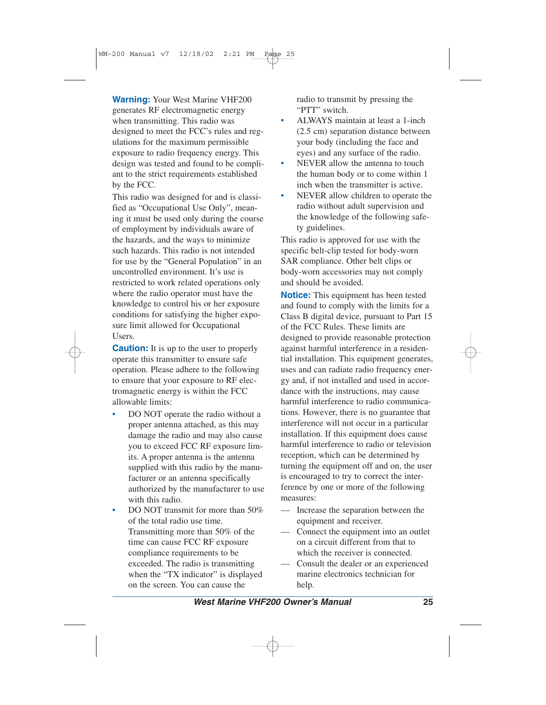**Warning:** Your West Marine VHF200 generates RF electromagnetic energy when transmitting. This radio was designed to meet the FCC's rules and regulations for the maximum permissible exposure to radio frequency energy. This design was tested and found to be compliant to the strict requirements established by the FCC.

This radio was designed for and is classified as "Occupational Use Only", meaning it must be used only during the course of employment by individuals aware of the hazards, and the ways to minimize such hazards. This radio is not intended for use by the "General Population" in an uncontrolled environment. It's use is restricted to work related operations only where the radio operator must have the knowledge to control his or her exposure conditions for satisfying the higher exposure limit allowed for Occupational Users.

**Caution:** It is up to the user to properly operate this transmitter to ensure safe operation. Please adhere to the following to ensure that your exposure to RF electromagnetic energy is within the FCC allowable limits:

- DO NOT operate the radio without a proper antenna attached, as this may damage the radio and may also cause you to exceed FCC RF exposure limits. A proper antenna is the antenna supplied with this radio by the manufacturer or an antenna specifically authorized by the manufacturer to use with this radio.
- DO NOT transmit for more than 50% of the total radio use time. Transmitting more than 50% of the time can cause FCC RF exposure compliance requirements to be exceeded. The radio is transmitting when the "TX indicator" is displayed on the screen. You can cause the

radio to transmit by pressing the "PTT" switch

- ALWAYS maintain at least a 1-inch (2.5 cm) separation distance between your body (including the face and eyes) and any surface of the radio.
- NEVER allow the antenna to touch the human body or to come within 1 inch when the transmitter is active.
- NEVER allow children to operate the radio without adult supervision and the knowledge of the following safety guidelines.

This radio is approved for use with the specific belt-clip tested for body-worn SAR compliance. Other belt clips or body-worn accessories may not comply and should be avoided.

**Notice:** This equipment has been tested and found to comply with the limits for a Class B digital device, pursuant to Part 15 of the FCC Rules. These limits are designed to provide reasonable protection against harmful interference in a residential installation. This equipment generates, uses and can radiate radio frequency energy and, if not installed and used in accordance with the instructions, may cause harmful interference to radio communications. However, there is no guarantee that interference will not occur in a particular installation. If this equipment does cause harmful interference to radio or television reception, which can be determined by turning the equipment off and on, the user is encouraged to try to correct the interference by one or more of the following measures:

- Increase the separation between the equipment and receiver.
- Connect the equipment into an outlet on a circuit different from that to which the receiver is connected.
- Consult the dealer or an experienced marine electronics technician for help.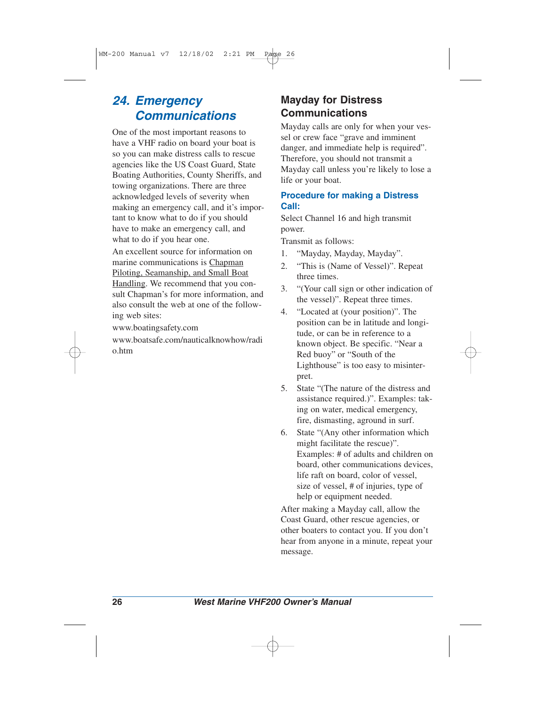#### *24. Emergency Communications*

One of the most important reasons to have a VHF radio on board your boat is so you can make distress calls to rescue agencies like the US Coast Guard, State Boating Authorities, County Sheriffs, and towing organizations. There are three acknowledged levels of severity when making an emergency call, and it's important to know what to do if you should have to make an emergency call, and what to do if you hear one.

An excellent source for information on marine communications is Chapman Piloting, Seamanship, and Small Boat Handling. We recommend that you consult Chapman's for more information, and also consult the web at one of the following web sites:

www.boatingsafety.com

www.boatsafe.com/nauticalknowhow/radi o.htm

#### **Mayday for Distress Communications**

Mayday calls are only for when your vessel or crew face "grave and imminent danger, and immediate help is required". Therefore, you should not transmit a Mayday call unless you're likely to lose a life or your boat.

#### **Procedure for making a Distress Call:**

Select Channel 16 and high transmit power.

Transmit as follows:

- 1. "Mayday, Mayday, Mayday".
- 2. "This is (Name of Vessel)". Repeat three times.
- 3. "(Your call sign or other indication of the vessel)". Repeat three times.
- 4. "Located at (your position)". The position can be in latitude and longitude, or can be in reference to a known object. Be specific. "Near a Red buoy" or "South of the Lighthouse" is too easy to misinterpret.
- 5. State "(The nature of the distress and assistance required.)". Examples: taking on water, medical emergency, fire, dismasting, aground in surf.
- 6. State "(Any other information which might facilitate the rescue)". Examples: # of adults and children on board, other communications devices, life raft on board, color of vessel, size of vessel, # of injuries, type of help or equipment needed.

After making a Mayday call, allow the Coast Guard, other rescue agencies, or other boaters to contact you. If you don't hear from anyone in a minute, repeat your message.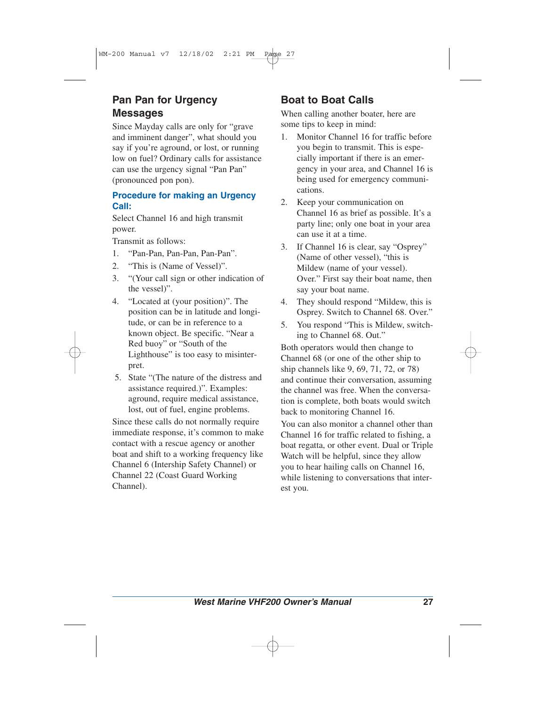#### **Pan Pan for Urgency Messages**

Since Mayday calls are only for "grave and imminent danger", what should you say if you're aground, or lost, or running low on fuel? Ordinary calls for assistance can use the urgency signal "Pan Pan" (pronounced pon pon).

#### **Procedure for making an Urgency Call:**

Select Channel 16 and high transmit power.

Transmit as follows:

- 1. "Pan-Pan, Pan-Pan, Pan-Pan".
- 2. "This is (Name of Vessel)".
- 3. "(Your call sign or other indication of the vessel)".
- 4. "Located at (your position)". The position can be in latitude and longitude, or can be in reference to a known object. Be specific. "Near a Red buoy" or "South of the Lighthouse" is too easy to misinterpret.
- 5. State "(The nature of the distress and assistance required.)". Examples: aground, require medical assistance, lost, out of fuel, engine problems.

Since these calls do not normally require immediate response, it's common to make contact with a rescue agency or another boat and shift to a working frequency like Channel 6 (Intership Safety Channel) or Channel 22 (Coast Guard Working Channel).

#### **Boat to Boat Calls**

When calling another boater, here are some tips to keep in mind:

- 1. Monitor Channel 16 for traffic before you begin to transmit. This is especially important if there is an emergency in your area, and Channel 16 is being used for emergency communications.
- 2. Keep your communication on Channel 16 as brief as possible. It's a party line; only one boat in your area can use it at a time.
- 3. If Channel 16 is clear, say "Osprey" (Name of other vessel), "this is Mildew (name of your vessel). Over." First say their boat name, then say your boat name.
- 4. They should respond "Mildew, this is Osprey. Switch to Channel 68. Over."
- 5. You respond "This is Mildew, switching to Channel 68. Out."

Both operators would then change to Channel 68 (or one of the other ship to ship channels like 9, 69, 71, 72, or 78) and continue their conversation, assuming the channel was free. When the conversation is complete, both boats would switch back to monitoring Channel 16.

You can also monitor a channel other than Channel 16 for traffic related to fishing, a boat regatta, or other event. Dual or Triple Watch will be helpful, since they allow you to hear hailing calls on Channel 16, while listening to conversations that interest you.